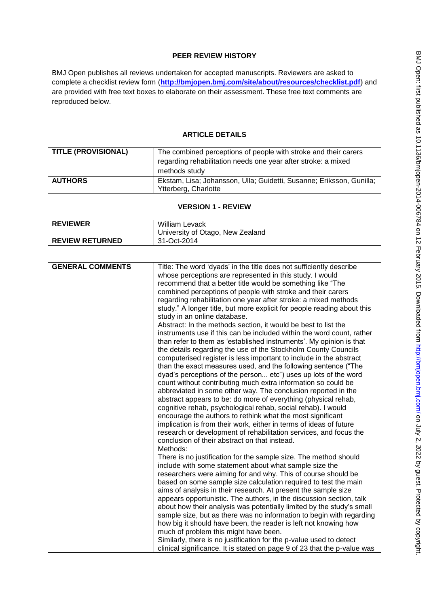# **PEER REVIEW HISTORY**

BMJ Open publishes all reviews undertaken for accepted manuscripts. Reviewers are asked to complete a checklist review form (**[http://bmjopen.bmj.com/site/about/resources/checklist.pdf\)](http://bmjopen.bmj.com/site/about/resources/checklist.pdf)** and are provided with free text boxes to elaborate on their assessment. These free text comments are reproduced below.

# **ARTICLE DETAILS**

| <b>TITLE (PROVISIONAL)</b> | The combined perceptions of people with stroke and their carers<br>regarding rehabilitation needs one year after stroke: a mixed<br>methods study |
|----------------------------|---------------------------------------------------------------------------------------------------------------------------------------------------|
| <b>AUTHORS</b>             | Ekstam, Lisa; Johansson, Ulla; Guidetti, Susanne; Eriksson, Gunilla;<br>Ytterberg, Charlotte                                                      |

# **VERSION 1 - REVIEW**

| <b>REVIEWER</b>        | <b>William Levack</b><br>University of Otago, New Zealand |
|------------------------|-----------------------------------------------------------|
| <b>REVIEW RETURNED</b> | 31-Oct-2014                                               |

| <b>GENERAL COMMENTS</b> | Title: The word 'dyads' in the title does not sufficiently describe      |
|-------------------------|--------------------------------------------------------------------------|
|                         | whose perceptions are represented in this study. I would                 |
|                         | recommend that a better title would be something like "The               |
|                         | combined perceptions of people with stroke and their carers              |
|                         | regarding rehabilitation one year after stroke: a mixed methods          |
|                         | study." A longer title, but more explicit for people reading about this  |
|                         | study in an online database.                                             |
|                         | Abstract: In the methods section, it would be best to list the           |
|                         | instruments use if this can be included within the word count, rather    |
|                         | than refer to them as 'established instruments'. My opinion is that      |
|                         | the details regarding the use of the Stockholm County Councils           |
|                         | computerised register is less important to include in the abstract       |
|                         | than the exact measures used, and the following sentence ("The           |
|                         | dyad's perceptions of the person etc") uses up lots of the word          |
|                         | count without contributing much extra information so could be            |
|                         | abbreviated in some other way. The conclusion reported in the            |
|                         | abstract appears to be: do more of everything (physical rehab,           |
|                         | cognitive rehab, psychological rehab, social rehab). I would             |
|                         | encourage the authors to rethink what the most significant               |
|                         | implication is from their work, either in terms of ideas of future       |
|                         | research or development of rehabilitation services, and focus the        |
|                         | conclusion of their abstract on that instead.                            |
|                         | Methods:                                                                 |
|                         | There is no justification for the sample size. The method should         |
|                         | include with some statement about what sample size the                   |
|                         | researchers were aiming for and why. This of course should be            |
|                         | based on some sample size calculation required to test the main          |
|                         | aims of analysis in their research. At present the sample size           |
|                         | appears opportunistic. The authors, in the discussion section, talk      |
|                         | about how their analysis was potentially limited by the study's small    |
|                         | sample size, but as there was no information to begin with regarding     |
|                         | how big it should have been, the reader is left not knowing how          |
|                         | much of problem this might have been.                                    |
|                         | Similarly, there is no justification for the p-value used to detect      |
|                         | clinical significance. It is stated on page 9 of 23 that the p-value was |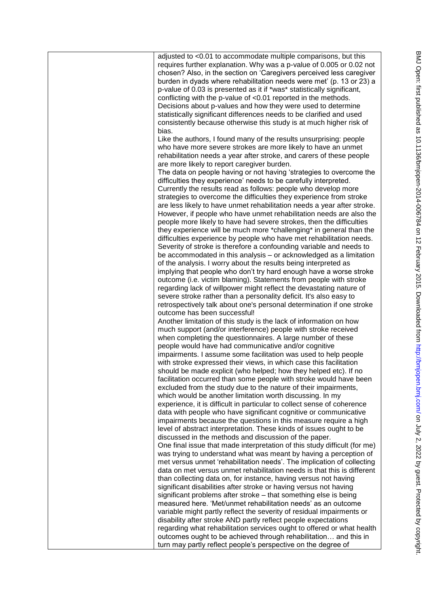| adjusted to <0.01 to accommodate multiple comparisons, but this<br>requires further explanation. Why was a p-value of 0.005 or 0.02 not<br>chosen? Also, in the section on 'Caregivers perceived less caregiver<br>burden in dyads where rehabilitation needs were met' (p. 13 or 23) a<br>p-value of 0.03 is presented as it if *was* statistically significant,<br>conflicting with the p-value of <0.01 reported in the methods.<br>Decisions about p-values and how they were used to determine<br>statistically significant differences needs to be clarified and used<br>consistently because otherwise this study is at much higher risk of<br>bias. |
|-------------------------------------------------------------------------------------------------------------------------------------------------------------------------------------------------------------------------------------------------------------------------------------------------------------------------------------------------------------------------------------------------------------------------------------------------------------------------------------------------------------------------------------------------------------------------------------------------------------------------------------------------------------|
| Like the authors, I found many of the results unsurprising: people<br>who have more severe strokes are more likely to have an unmet<br>rehabilitation needs a year after stroke, and carers of these people<br>are more likely to report caregiver burden.<br>The data on people having or not having 'strategies to overcome the<br>difficulties they experience' needs to be carefully interpreted.<br>Currently the results read as follows: people who develop more<br>strategies to overcome the difficulties they experience from stroke<br>are less likely to have unmet rehabilitation needs a year after stroke.                                   |
| However, if people who have unmet rehabilitation needs are also the<br>people more likely to have had severe strokes, then the difficulties<br>they experience will be much more *challenging* in general than the<br>difficulties experience by people who have met rehabilitation needs.<br>Severity of stroke is therefore a confounding variable and needs to<br>be accommodated in this analysis - or acknowledged as a limitation<br>of the analysis. I worry about the results being interpreted as<br>implying that people who don't try hard enough have a worse stroke<br>outcome (i.e. victim blaming). Statements from people with stroke       |
| regarding lack of willpower might reflect the devastating nature of<br>severe stroke rather than a personality deficit. It's also easy to<br>retrospectively talk about one's personal determination if one stroke<br>outcome has been successful!<br>Another limitation of this study is the lack of information on how<br>much support (and/or interference) people with stroke received<br>when completing the questionnaires. A large number of these                                                                                                                                                                                                   |
| people would have had communicative and/or cognitive<br>impairments. I assume some facilitation was used to help people<br>with stroke expressed their views, in which case this facilitation<br>should be made explicit (who helped; how they helped etc). If no<br>facilitation occurred than some people with stroke would have been<br>excluded from the study due to the nature of their impairments,<br>which would be another limitation worth discussing. In my<br>experience, it is difficult in particular to collect sense of coherence                                                                                                          |
| data with people who have significant cognitive or communicative<br>impairments because the questions in this measure require a high<br>level of abstract interpretation. These kinds of issues ought to be<br>discussed in the methods and discussion of the paper.<br>One final issue that made interpretation of this study difficult (for me)<br>was trying to understand what was meant by having a perception of<br>met versus unmet 'rehabilitation needs'. The implication of collecting<br>data on met versus unmet rehabilitation needs is that this is different                                                                                 |
| than collecting data on, for instance, having versus not having<br>significant disabilities after stroke or having versus not having<br>significant problems after stroke - that something else is being<br>measured here. 'Met/unmet rehabilitation needs' as an outcome<br>variable might partly reflect the severity of residual impairments or<br>disability after stroke AND partly reflect people expectations<br>regarding what rehabilitation services ought to offered or what health<br>outcomes ought to be achieved through rehabilitation and this in                                                                                          |
| turn may partly reflect people's perspective on the degree of                                                                                                                                                                                                                                                                                                                                                                                                                                                                                                                                                                                               |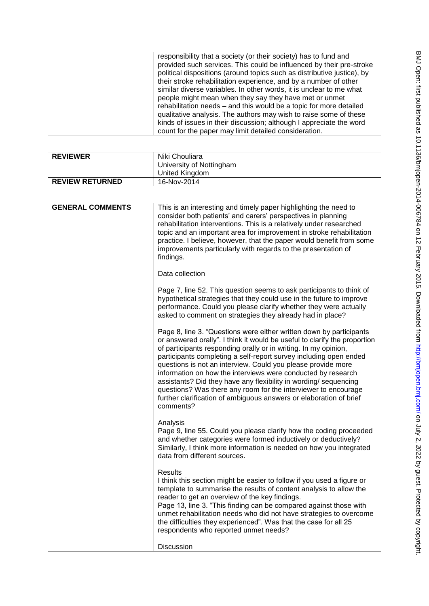| <b>REVIEWER</b>        | Niki Chouliara           |
|------------------------|--------------------------|
|                        | University of Nottingham |
|                        | United Kingdom           |
| <b>REVIEW RETURNED</b> | 16-Nov-2014              |

| <b>GENERAL COMMENTS</b> | This is an interesting and timely paper highlighting the need to<br>consider both patients' and carers' perspectives in planning<br>rehabilitation interventions. This is a relatively under researched<br>topic and an important area for improvement in stroke rehabilitation<br>practice. I believe, however, that the paper would benefit from some<br>improvements particularly with regards to the presentation of<br>findings.                                                                                                                                                                                                             |
|-------------------------|---------------------------------------------------------------------------------------------------------------------------------------------------------------------------------------------------------------------------------------------------------------------------------------------------------------------------------------------------------------------------------------------------------------------------------------------------------------------------------------------------------------------------------------------------------------------------------------------------------------------------------------------------|
|                         | Data collection                                                                                                                                                                                                                                                                                                                                                                                                                                                                                                                                                                                                                                   |
|                         | Page 7, line 52. This question seems to ask participants to think of<br>hypothetical strategies that they could use in the future to improve<br>performance. Could you please clarify whether they were actually<br>asked to comment on strategies they already had in place?                                                                                                                                                                                                                                                                                                                                                                     |
|                         | Page 8, line 3. "Questions were either written down by participants<br>or answered orally". I think it would be useful to clarify the proportion<br>of participants responding orally or in writing. In my opinion,<br>participants completing a self-report survey including open ended<br>questions is not an interview. Could you please provide more<br>information on how the interviews were conducted by research<br>assistants? Did they have any flexibility in wording/ sequencing<br>questions? Was there any room for the interviewer to encourage<br>further clarification of ambiguous answers or elaboration of brief<br>comments? |
|                         | Analysis<br>Page 9, line 55. Could you please clarify how the coding proceeded<br>and whether categories were formed inductively or deductively?<br>Similarly, I think more information is needed on how you integrated<br>data from different sources.                                                                                                                                                                                                                                                                                                                                                                                           |
|                         | <b>Results</b><br>I think this section might be easier to follow if you used a figure or<br>template to summarise the results of content analysis to allow the<br>reader to get an overview of the key findings.<br>Page 13, line 3. "This finding can be compared against those with<br>unmet rehabilitation needs who did not have strategies to overcome<br>the difficulties they experienced". Was that the case for all 25<br>respondents who reported unmet needs?                                                                                                                                                                          |
|                         | <b>Discussion</b>                                                                                                                                                                                                                                                                                                                                                                                                                                                                                                                                                                                                                                 |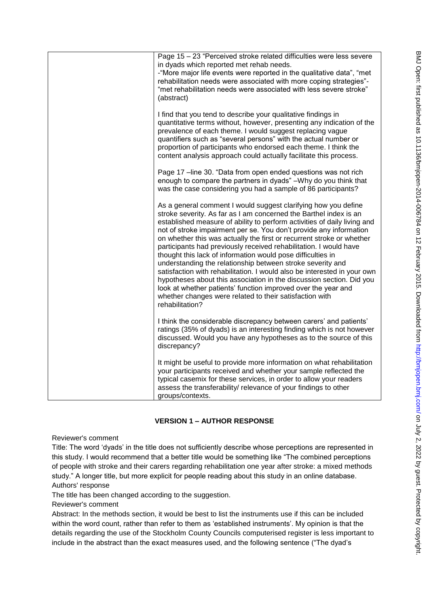| Page 15 - 23 "Perceived stroke related difficulties were less severe<br>in dyads which reported met rehab needs.<br>-"More major life events were reported in the qualitative data", "met<br>rehabilitation needs were associated with more coping strategies"-<br>"met rehabilitation needs were associated with less severe stroke"<br>(abstract)                                                                                                                                                                                                                                                                                                                                                                                                                                                                                                                 |
|---------------------------------------------------------------------------------------------------------------------------------------------------------------------------------------------------------------------------------------------------------------------------------------------------------------------------------------------------------------------------------------------------------------------------------------------------------------------------------------------------------------------------------------------------------------------------------------------------------------------------------------------------------------------------------------------------------------------------------------------------------------------------------------------------------------------------------------------------------------------|
| I find that you tend to describe your qualitative findings in<br>quantitative terms without, however, presenting any indication of the<br>prevalence of each theme. I would suggest replacing vague<br>quantifiers such as "several persons" with the actual number or<br>proportion of participants who endorsed each theme. I think the<br>content analysis approach could actually facilitate this process.                                                                                                                                                                                                                                                                                                                                                                                                                                                      |
| Page 17 - line 30. "Data from open ended questions was not rich<br>enough to compare the partners in dyads" -Why do you think that<br>was the case considering you had a sample of 86 participants?                                                                                                                                                                                                                                                                                                                                                                                                                                                                                                                                                                                                                                                                 |
| As a general comment I would suggest clarifying how you define<br>stroke severity. As far as I am concerned the Barthel index is an<br>established measure of ability to perform activities of daily living and<br>not of stroke impairment per se. You don't provide any information<br>on whether this was actually the first or recurrent stroke or whether<br>participants had previously received rehabilitation. I would have<br>thought this lack of information would pose difficulties in<br>understanding the relationship between stroke severity and<br>satisfaction with rehabilitation. I would also be interested in your own<br>hypotheses about this association in the discussion section. Did you<br>look at whether patients' function improved over the year and<br>whether changes were related to their satisfaction with<br>rehabilitation? |
| I think the considerable discrepancy between carers' and patients'<br>ratings (35% of dyads) is an interesting finding which is not however<br>discussed. Would you have any hypotheses as to the source of this<br>discrepancy?                                                                                                                                                                                                                                                                                                                                                                                                                                                                                                                                                                                                                                    |
| It might be useful to provide more information on what rehabilitation<br>your participants received and whether your sample reflected the<br>typical casemix for these services, in order to allow your readers<br>assess the transferability/ relevance of your findings to other<br>groups/contexts.                                                                                                                                                                                                                                                                                                                                                                                                                                                                                                                                                              |

# **VERSION 1 – AUTHOR RESPONSE**

Reviewer's comment

Title: The word 'dyads' in the title does not sufficiently describe whose perceptions are represented in this study. I would recommend that a better title would be something like "The combined perceptions" of people with stroke and their carers regarding rehabilitation one year after stroke: a mixed methods study." A longer title, but more explicit for people reading about this study in an online database. Authors' response

The title has been changed according to the suggestion.

Reviewer's comment

Abstract: In the methods section, it would be best to list the instruments use if this can be included within the word count, rather than refer to them as 'established instruments'. My opinion is that the details regarding the use of the Stockholm County Councils computerised register is less important to include in the abstract than the exact measures used, and the following sentence ("The dyad's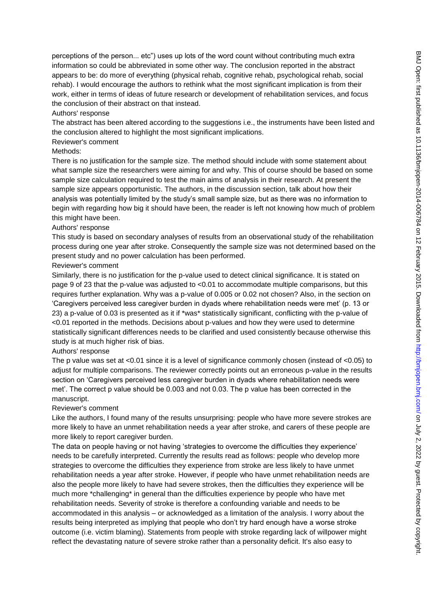perceptions of the person... etc") uses up lots of the word count without contributing much extra information so could be abbreviated in some other way. The conclusion reported in the abstract appears to be: do more of everything (physical rehab, cognitive rehab, psychological rehab, social rehab). I would encourage the authors to rethink what the most significant implication is from their work, either in terms of ideas of future research or development of rehabilitation services, and focus the conclusion of their abstract on that instead.

# Authors' response

The abstract has been altered according to the suggestions i.e., the instruments have been listed and the conclusion altered to highlight the most significant implications.

### Reviewer's comment

#### Methods:

There is no justification for the sample size. The method should include with some statement about what sample size the researchers were aiming for and why. This of course should be based on some sample size calculation required to test the main aims of analysis in their research. At present the sample size appears opportunistic. The authors, in the discussion section, talk about how their analysis was potentially limited by the study's small sample size, but as there was no information to begin with regarding how big it should have been, the reader is left not knowing how much of problem this might have been.

### Authors' response

This study is based on secondary analyses of results from an observational study of the rehabilitation process during one year after stroke. Consequently the sample size was not determined based on the present study and no power calculation has been performed.

### Reviewer's comment

Similarly, there is no justification for the p-value used to detect clinical significance. It is stated on page 9 of 23 that the p-value was adjusted to <0.01 to accommodate multiple comparisons, but this requires further explanation. Why was a p-value of 0.005 or 0.02 not chosen? Also, in the section on ‗Caregivers perceived less caregiver burden in dyads where rehabilitation needs were met' (p. 13 or 23) a p-value of 0.03 is presented as it if \*was\* statistically significant, conflicting with the p-value of <0.01 reported in the methods. Decisions about p-values and how they were used to determine statistically significant differences needs to be clarified and used consistently because otherwise this study is at much higher risk of bias.

# Authors' response

The p value was set at <0.01 since it is a level of significance commonly chosen (instead of <0.05) to adjust for multiple comparisons. The reviewer correctly points out an erroneous p-value in the results section on 'Caregivers perceived less caregiver burden in dyads where rehabilitation needs were met'. The correct p value should be 0.003 and not 0.03. The p value has been corrected in the manuscript.

# Reviewer's comment

Like the authors, I found many of the results unsurprising: people who have more severe strokes are more likely to have an unmet rehabilitation needs a year after stroke, and carers of these people are more likely to report caregiver burden.

The data on people having or not having 'strategies to overcome the difficulties they experience' needs to be carefully interpreted. Currently the results read as follows: people who develop more strategies to overcome the difficulties they experience from stroke are less likely to have unmet rehabilitation needs a year after stroke. However, if people who have unmet rehabilitation needs are also the people more likely to have had severe strokes, then the difficulties they experience will be much more \*challenging\* in general than the difficulties experience by people who have met rehabilitation needs. Severity of stroke is therefore a confounding variable and needs to be accommodated in this analysis – or acknowledged as a limitation of the analysis. I worry about the results being interpreted as implying that people who don't try hard enough have a worse stroke outcome (i.e. victim blaming). Statements from people with stroke regarding lack of willpower might reflect the devastating nature of severe stroke rather than a personality deficit. It's also easy to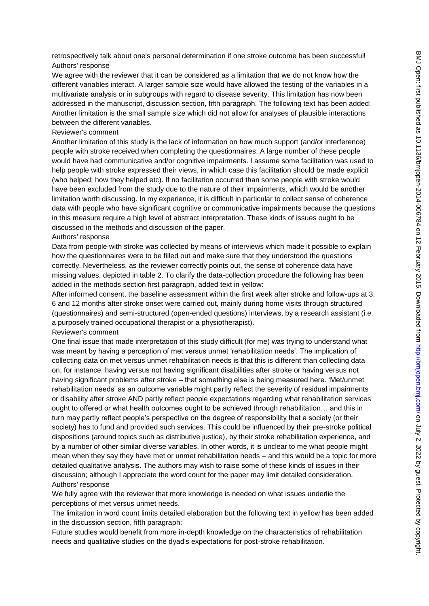retrospectively talk about one's personal determination if one stroke outcome has been successful! Authors' response

We agree with the reviewer that it can be considered as a limitation that we do not know how the different variables interact. A larger sample size would have allowed the testing of the variables in a multivariate analysis or in subgroups with regard to disease severity. This limitation has now been addressed in the manuscript, discussion section, fifth paragraph. The following text has been added: Another limitation is the small sample size which did not allow for analyses of plausible interactions between the different variables.

#### Reviewer's comment

Another limitation of this study is the lack of information on how much support (and/or interference) people with stroke received when completing the questionnaires. A large number of these people would have had communicative and/or cognitive impairments. I assume some facilitation was used to help people with stroke expressed their views, in which case this facilitation should be made explicit (who helped; how they helped etc). If no facilitation occurred than some people with stroke would have been excluded from the study due to the nature of their impairments, which would be another limitation worth discussing. In my experience, it is difficult in particular to collect sense of coherence data with people who have significant cognitive or communicative impairments because the questions in this measure require a high level of abstract interpretation. These kinds of issues ought to be discussed in the methods and discussion of the paper.

#### Authors' response

Data from people with stroke was collected by means of interviews which made it possible to explain how the questionnaires were to be filled out and make sure that they understood the questions correctly. Nevertheless, as the reviewer correctly points out, the sense of coherence data have missing values, depicted in table 2. To clarify the data-collection procedure the following has been added in the methods section first paragraph, added text in yellow:

After informed consent, the baseline assessment within the first week after stroke and follow-ups at 3, 6 and 12 months after stroke onset were carried out, mainly during home visits through structured (questionnaires) and semi-structured (open-ended questions) interviews, by a research assistant (i.e. a purposely trained occupational therapist or a physiotherapist).

#### Reviewer's comment

One final issue that made interpretation of this study difficult (for me) was trying to understand what was meant by having a perception of met versus unmet 'rehabilitation needs'. The implication of collecting data on met versus unmet rehabilitation needs is that this is different than collecting data on, for instance, having versus not having significant disabilities after stroke or having versus not having significant problems after stroke – that something else is being measured here. 'Met/unmet rehabilitation needs' as an outcome variable might partly reflect the severity of residual impairments or disability after stroke AND partly reflect people expectations regarding what rehabilitation services ought to offered or what health outcomes ought to be achieved through rehabilitation… and this in turn may partly reflect people's perspective on the degree of responsibility that a society (or their society) has to fund and provided such services. This could be influenced by their pre-stroke political dispositions (around topics such as distributive justice), by their stroke rehabilitation experience, and by a number of other similar diverse variables. In other words, it is unclear to me what people might mean when they say they have met or unmet rehabilitation needs – and this would be a topic for more detailed qualitative analysis. The authors may wish to raise some of these kinds of issues in their discussion; although I appreciate the word count for the paper may limit detailed consideration. Authors' response

We fully agree with the reviewer that more knowledge is needed on what issues underlie the perceptions of met versus unmet needs.

The limitation in word count limits detailed elaboration but the following text in yellow has been added in the discussion section, fifth paragraph:

Future studies would benefit from more in-depth knowledge on the characteristics of rehabilitation needs and qualitative studies on the dyad's expectations for post-stroke rehabilitation.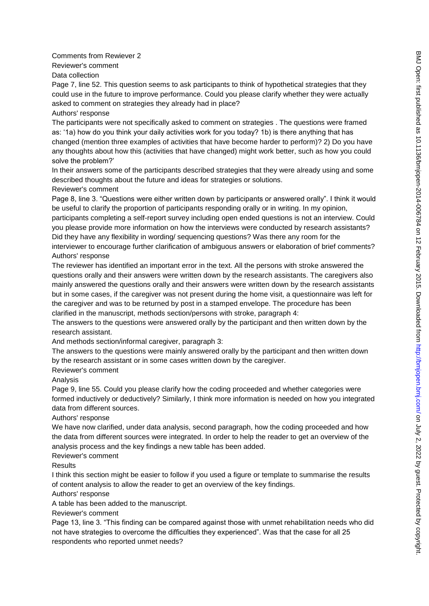Comments from Rewiever 2 Reviewer's comment

Data collection

Page 7, line 52. This question seems to ask participants to think of hypothetical strategies that they could use in the future to improve performance. Could you please clarify whether they were actually asked to comment on strategies they already had in place? Authors' response

The participants were not specifically asked to comment on strategies . The questions were framed as: '1a) how do you think your daily activities work for you today? 1b) is there anything that has changed (mention three examples of activities that have become harder to perform)? 2) Do you have any thoughts about how this (activities that have changed) might work better, such as how you could solve the problem?'

In their answers some of the participants described strategies that they were already using and some described thoughts about the future and ideas for strategies or solutions.

### Reviewer's comment

Page 8, line 3. "Questions were either written down by participants or answered orally". I think it would be useful to clarify the proportion of participants responding orally or in writing. In my opinion,

participants completing a self-report survey including open ended questions is not an interview. Could you please provide more information on how the interviews were conducted by research assistants? Did they have any flexibility in wording/ sequencing questions? Was there any room for the

interviewer to encourage further clarification of ambiguous answers or elaboration of brief comments? Authors' response

The reviewer has identified an important error in the text. All the persons with stroke answered the questions orally and their answers were written down by the research assistants. The caregivers also mainly answered the questions orally and their answers were written down by the research assistants but in some cases, if the caregiver was not present during the home visit, a questionnaire was left for the caregiver and was to be returned by post in a stamped envelope. The procedure has been clarified in the manuscript, methods section/persons with stroke, paragraph 4:

The answers to the questions were answered orally by the participant and then written down by the research assistant.

And methods section/informal caregiver, paragraph 3:

The answers to the questions were mainly answered orally by the participant and then written down by the research assistant or in some cases written down by the caregiver.

Reviewer's comment

Analysis

Page 9, line 55. Could you please clarify how the coding proceeded and whether categories were formed inductively or deductively? Similarly, I think more information is needed on how you integrated data from different sources.

# Authors' response

We have now clarified, under data analysis, second paragraph, how the coding proceeded and how the data from different sources were integrated. In order to help the reader to get an overview of the analysis process and the key findings a new table has been added.

# Reviewer's comment

Results

I think this section might be easier to follow if you used a figure or template to summarise the results of content analysis to allow the reader to get an overview of the key findings.

# Authors' response

A table has been added to the manuscript.

Reviewer's comment

Page 13, line 3. "This finding can be compared against those with unmet rehabilitation needs who did not have strategies to overcome the difficulties they experienced". Was that the case for all 25 respondents who reported unmet needs?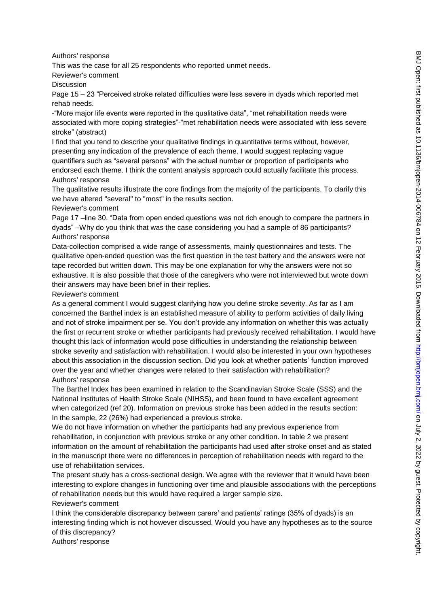Authors' response

This was the case for all 25 respondents who reported unmet needs.

Reviewer's comment

Discussion

Page 15 – 23 "Perceived stroke related difficulties were less severe in dyads which reported met rehab needs.

- "More major life events were reported in the qualitative data", "met rehabilitation needs were associated with more coping strategies"-"met rehabilitation needs were associated with less severe stroke" (abstract)

I find that you tend to describe your qualitative findings in quantitative terms without, however, presenting any indication of the prevalence of each theme. I would suggest replacing vague quantifiers such as "several persons" with the actual number or proportion of participants who endorsed each theme. I think the content analysis approach could actually facilitate this process. Authors' response

The qualitative results illustrate the core findings from the majority of the participants. To clarify this we have altered "several" to "most" in the results section.

Reviewer's comment

Page 17 –line 30. "Data from open ended questions was not rich enough to compare the partners in dyads‖ –Why do you think that was the case considering you had a sample of 86 participants? Authors' response

Data-collection comprised a wide range of assessments, mainly questionnaires and tests. The qualitative open-ended question was the first question in the test battery and the answers were not tape recorded but written down. This may be one explanation for why the answers were not so exhaustive. It is also possible that those of the caregivers who were not interviewed but wrote down their answers may have been brief in their replies.

Reviewer's comment

As a general comment I would suggest clarifying how you define stroke severity. As far as I am concerned the Barthel index is an established measure of ability to perform activities of daily living and not of stroke impairment per se. You don't provide any information on whether this was actually the first or recurrent stroke or whether participants had previously received rehabilitation. I would have thought this lack of information would pose difficulties in understanding the relationship between stroke severity and satisfaction with rehabilitation. I would also be interested in your own hypotheses about this association in the discussion section. Did you look at whether patients' function improved over the year and whether changes were related to their satisfaction with rehabilitation? Authors' response

The Barthel Index has been examined in relation to the Scandinavian Stroke Scale (SSS) and the National Institutes of Health Stroke Scale (NIHSS), and been found to have excellent agreement when categorized (ref 20). Information on previous stroke has been added in the results section: In the sample, 22 (26%) had experienced a previous stroke.

We do not have information on whether the participants had any previous experience from rehabilitation, in conjunction with previous stroke or any other condition. In table 2 we present information on the amount of rehabilitation the participants had used after stroke onset and as stated in the manuscript there were no differences in perception of rehabilitation needs with regard to the use of rehabilitation services.

The present study has a cross-sectional design. We agree with the reviewer that it would have been interesting to explore changes in functioning over time and plausible associations with the perceptions of rehabilitation needs but this would have required a larger sample size.

### Reviewer's comment

I think the considerable discrepancy between carers' and patients' ratings (35% of dyads) is an interesting finding which is not however discussed. Would you have any hypotheses as to the source of this discrepancy?

Authors' response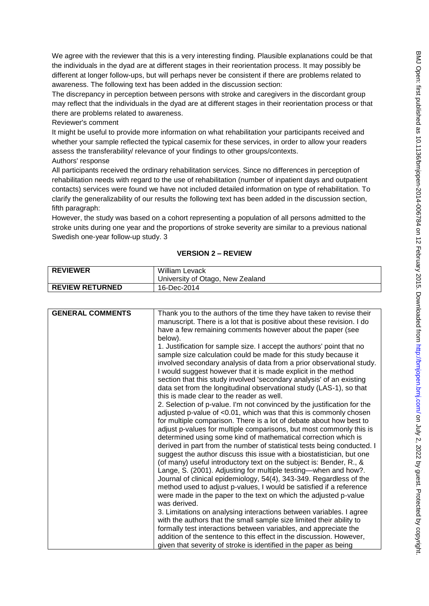We agree with the reviewer that this is a very interesting finding. Plausible explanations could be that the individuals in the dyad are at different stages in their reorientation process. It may possibly be different at longer follow-ups, but will perhaps never be consistent if there are problems related to awareness. The following text has been added in the discussion section:

The discrepancy in perception between persons with stroke and caregivers in the discordant group may reflect that the individuals in the dyad are at different stages in their reorientation process or that there are problems related to awareness.

Reviewer's comment

It might be useful to provide more information on what rehabilitation your participants received and whether your sample reflected the typical casemix for these services, in order to allow your readers assess the transferability/ relevance of your findings to other groups/contexts.

Authors' response

All participants received the ordinary rehabilitation services. Since no differences in perception of rehabilitation needs with regard to the use of rehabilitation (number of inpatient days and outpatient contacts) services were found we have not included detailed information on type of rehabilitation. To clarify the generalizability of our results the following text has been added in the discussion section, fifth paragraph:

However, the study was based on a cohort representing a population of all persons admitted to the stroke units during one year and the proportions of stroke severity are similar to a previous national Swedish one-year follow-up study. 3

# **VERSION 2 – REVIEW**

| <b>REVIEWER</b>        | <b>William Levack</b>                         |
|------------------------|-----------------------------------------------|
|                        | <sup>1</sup> University of Otago, New Zealand |
| <b>REVIEW RETURNED</b> | 16-Dec-2014                                   |

| <b>GENERAL COMMENTS</b> | Thank you to the authors of the time they have taken to revise their<br>manuscript. There is a lot that is positive about these revision. I do<br>have a few remaining comments however about the paper (see<br>below).<br>1. Justification for sample size. I accept the authors' point that no<br>sample size calculation could be made for this study because it<br>involved secondary analysis of data from a prior observational study.<br>I would suggest however that it is made explicit in the method<br>section that this study involved 'secondary analysis' of an existing<br>data set from the longitudinal observational study (LAS-1), so that<br>this is made clear to the reader as well.<br>2. Selection of p-value. I'm not convinced by the justification for the<br>adjusted p-value of <0.01, which was that this is commonly chosen<br>for multiple comparison. There is a lot of debate about how best to<br>adjust p-values for multiple comparisons, but most commonly this is<br>determined using some kind of mathematical correction which is<br>derived in part from the number of statistical tests being conducted. I<br>suggest the author discuss this issue with a biostatistician, but one<br>(of many) useful introductory text on the subject is: Bender, R., &<br>Lange, S. (2001). Adjusting for multiple testing—when and how?.<br>Journal of clinical epidemiology, 54(4), 343-349. Regardless of the |
|-------------------------|-------------------------------------------------------------------------------------------------------------------------------------------------------------------------------------------------------------------------------------------------------------------------------------------------------------------------------------------------------------------------------------------------------------------------------------------------------------------------------------------------------------------------------------------------------------------------------------------------------------------------------------------------------------------------------------------------------------------------------------------------------------------------------------------------------------------------------------------------------------------------------------------------------------------------------------------------------------------------------------------------------------------------------------------------------------------------------------------------------------------------------------------------------------------------------------------------------------------------------------------------------------------------------------------------------------------------------------------------------------------------------------------------------------------------------------------------|
|                         | method used to adjust p-values, I would be satisfied if a reference<br>were made in the paper to the text on which the adjusted p-value<br>was derived.                                                                                                                                                                                                                                                                                                                                                                                                                                                                                                                                                                                                                                                                                                                                                                                                                                                                                                                                                                                                                                                                                                                                                                                                                                                                                         |
|                         | 3. Limitations on analysing interactions between variables. I agree<br>with the authors that the small sample size limited their ability to<br>formally test interactions between variables, and appreciate the                                                                                                                                                                                                                                                                                                                                                                                                                                                                                                                                                                                                                                                                                                                                                                                                                                                                                                                                                                                                                                                                                                                                                                                                                                 |
|                         | addition of the sentence to this effect in the discussion. However,<br>given that severity of stroke is identified in the paper as being                                                                                                                                                                                                                                                                                                                                                                                                                                                                                                                                                                                                                                                                                                                                                                                                                                                                                                                                                                                                                                                                                                                                                                                                                                                                                                        |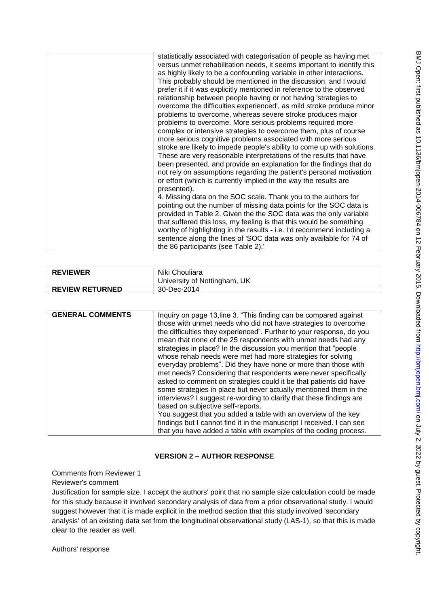| statistically associated with categorisation of people as having met<br>versus unmet rehabilitation needs, it seems important to identify this<br>as highly likely to be a confounding variable in other interactions. |
|------------------------------------------------------------------------------------------------------------------------------------------------------------------------------------------------------------------------|
| This probably should be mentioned in the discussion, and I would<br>prefer it if it was explicitly mentioned in reference to the observed                                                                              |
| relationship between people having or not having 'strategies to                                                                                                                                                        |
| overcome the difficulties experienced', as mild stroke produce minor                                                                                                                                                   |
| problems to overcome, whereas severe stroke produces major                                                                                                                                                             |
| problems to overcome. More serious problems required more                                                                                                                                                              |
| complex or intensive strategies to overcome them, plus of course                                                                                                                                                       |
| more serious cognitive problems associated with more serious                                                                                                                                                           |
| stroke are likely to impede people's ability to come up with solutions.                                                                                                                                                |
| These are very reasonable interpretations of the results that have                                                                                                                                                     |
| been presented, and provide an explanation for the findings that do                                                                                                                                                    |
| not rely on assumptions regarding the patient's personal motivation                                                                                                                                                    |
| or effort (which is currently implied in the way the results are<br>presented).                                                                                                                                        |
| 4. Missing data on the SOC scale. Thank you to the authors for                                                                                                                                                         |
| pointing out the number of missing data points for the SOC data is                                                                                                                                                     |
| provided in Table 2. Given the the SOC data was the only variable                                                                                                                                                      |
| that suffered this loss, my feeling is that this would be something                                                                                                                                                    |
| worthy of highlighting in the results - i.e. I'd recommend including a                                                                                                                                                 |
| sentence along the lines of 'SOC data was only available for 74 of                                                                                                                                                     |
| the 86 participants (see Table 2).'                                                                                                                                                                                    |
|                                                                                                                                                                                                                        |

| <b>REVIEWER</b>        | Niki Chouliara<br>University of Nottingham, UK |
|------------------------|------------------------------------------------|
| <b>REVIEW RETURNED</b> | 30-Dec-2014                                    |

| <b>GENERAL COMMENTS</b><br>Inquiry on page 13, line 3. "This finding can be compared against                                                                                                                                                                                                                                                                                                                                                                                                                                                                                                                                                                                                                                                                                                                                                                                    |
|---------------------------------------------------------------------------------------------------------------------------------------------------------------------------------------------------------------------------------------------------------------------------------------------------------------------------------------------------------------------------------------------------------------------------------------------------------------------------------------------------------------------------------------------------------------------------------------------------------------------------------------------------------------------------------------------------------------------------------------------------------------------------------------------------------------------------------------------------------------------------------|
| those with unmet needs who did not have strategies to overcome<br>the difficulties they experienced". Further to your response, do you<br>mean that none of the 25 respondents with unmet needs had any<br>strategies in place? In the discussion you mention that "people"<br>whose rehab needs were met had more strategies for solving<br>everyday problems". Did they have none or more than those with<br>met needs? Considering that respondents were never specifically<br>asked to comment on strategies could it be that patients did have<br>some strategies in place but never actually mentioned them in the<br>interviews? I suggest re-wording to clarify that these findings are<br>based on subjective self-reports.<br>You suggest that you added a table with an overview of the key<br>findings but I cannot find it in the manuscript I received. I can see |

# **VERSION 2 – AUTHOR RESPONSE**

Comments from Reviewer 1

Reviewer's comment

Justification for sample size. I accept the authors' point that no sample size calculation could be made for this study because it involved secondary analysis of data from a prior observational study. I would suggest however that it is made explicit in the method section that this study involved 'secondary analysis' of an existing data set from the longitudinal observational study (LAS-1), so that this is made clear to the reader as well.

Authors' response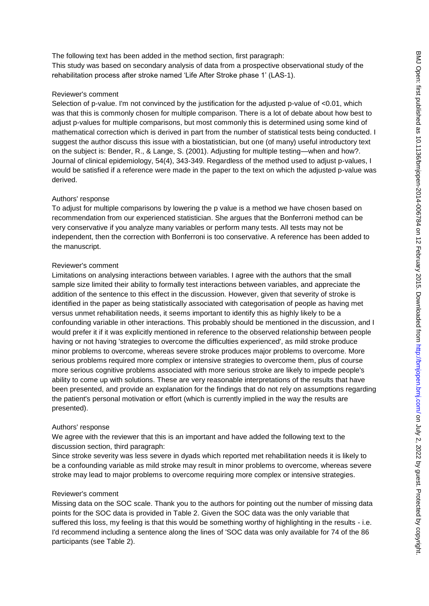The following text has been added in the method section, first paragraph: This study was based on secondary analysis of data from a prospective observational study of the rehabilitation process after stroke named 'Life After Stroke phase 1' (LAS-1).

### Reviewer's comment

Selection of p-value. I'm not convinced by the justification for the adjusted p-value of <0.01, which was that this is commonly chosen for multiple comparison. There is a lot of debate about how best to adjust p-values for multiple comparisons, but most commonly this is determined using some kind of mathematical correction which is derived in part from the number of statistical tests being conducted. I suggest the author discuss this issue with a biostatistician, but one (of many) useful introductory text on the subject is: Bender, R., & Lange, S. (2001). Adjusting for multiple testing—when and how?. Journal of clinical epidemiology, 54(4), 343-349. Regardless of the method used to adjust p-values, I would be satisfied if a reference were made in the paper to the text on which the adjusted p-value was derived.

### Authors' response

To adjust for multiple comparisons by lowering the p value is a method we have chosen based on recommendation from our experienced statistician. She argues that the Bonferroni method can be very conservative if you analyze many variables or perform many tests. All tests may not be independent, then the correction with Bonferroni is too conservative. A reference has been added to the manuscript.

# Reviewer's comment

Limitations on analysing interactions between variables. I agree with the authors that the small sample size limited their ability to formally test interactions between variables, and appreciate the addition of the sentence to this effect in the discussion. However, given that severity of stroke is identified in the paper as being statistically associated with categorisation of people as having met versus unmet rehabilitation needs, it seems important to identify this as highly likely to be a confounding variable in other interactions. This probably should be mentioned in the discussion, and I would prefer it if it was explicitly mentioned in reference to the observed relationship between people having or not having 'strategies to overcome the difficulties experienced', as mild stroke produce minor problems to overcome, whereas severe stroke produces major problems to overcome. More serious problems required more complex or intensive strategies to overcome them, plus of course more serious cognitive problems associated with more serious stroke are likely to impede people's ability to come up with solutions. These are very reasonable interpretations of the results that have been presented, and provide an explanation for the findings that do not rely on assumptions regarding the patient's personal motivation or effort (which is currently implied in the way the results are presented).

#### Authors' response

We agree with the reviewer that this is an important and have added the following text to the discussion section, third paragraph:

Since stroke severity was less severe in dyads which reported met rehabilitation needs it is likely to be a confounding variable as mild stroke may result in minor problems to overcome, whereas severe stroke may lead to major problems to overcome requiring more complex or intensive strategies.

#### Reviewer's comment

Missing data on the SOC scale. Thank you to the authors for pointing out the number of missing data points for the SOC data is provided in Table 2. Given the SOC data was the only variable that suffered this loss, my feeling is that this would be something worthy of highlighting in the results - i.e. I'd recommend including a sentence along the lines of 'SOC data was only available for 74 of the 86 participants (see Table 2).